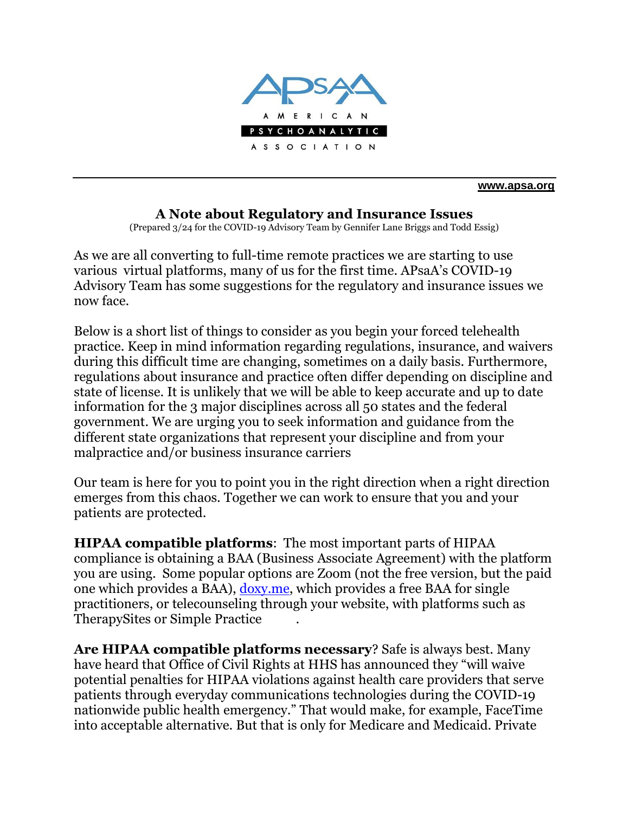

**[www.apsa.org](http://www.apsa.org/)**

## **A Note about Regulatory and Insurance Issues**

(Prepared 3/24 for the COVID-19 Advisory Team by Gennifer Lane Briggs and Todd Essig)

As we are all converting to full-time remote practices we are starting to use various virtual platforms, many of us for the first time. APsaA's COVID-19 Advisory Team has some suggestions for the regulatory and insurance issues we now face.

Below is a short list of things to consider as you begin your forced telehealth practice. Keep in mind information regarding regulations, insurance, and waivers during this difficult time are changing, sometimes on a daily basis. Furthermore, regulations about insurance and practice often differ depending on discipline and state of license. It is unlikely that we will be able to keep accurate and up to date information for the 3 major disciplines across all 50 states and the federal government. We are urging you to seek information and guidance from the different state organizations that represent your discipline and from your malpractice and/or business insurance carriers

Our team is here for you to point you in the right direction when a right direction emerges from this chaos. Together we can work to ensure that you and your patients are protected.

**HIPAA compatible platforms**: The most important parts of HIPAA compliance is obtaining a BAA (Business Associate Agreement) with the platform you are using. Some popular options are Zoom (not the free version, but the paid one which provides a BAA), [doxy.me,](http://doxy.me/) which provides a free BAA for single practitioners, or telecounseling through your website, with platforms such as TherapySites or Simple Practice .

**Are HIPAA compatible platforms necessary**? Safe is always best. Many have heard that Office of Civil Rights at HHS has announced they "will waive potential penalties for HIPAA violations against health care providers that serve patients through everyday communications technologies during the COVID-19 nationwide public health emergency." That would make, for example, FaceTime into acceptable alternative. But that is only for Medicare and Medicaid. Private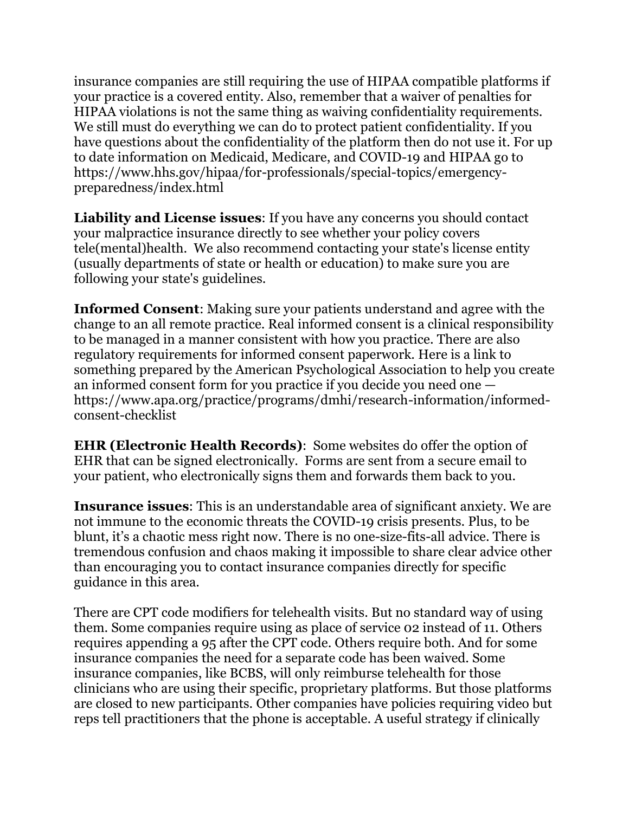insurance companies are still requiring the use of HIPAA compatible platforms if your practice is a covered entity. Also, remember that a waiver of penalties for HIPAA violations is not the same thing as waiving confidentiality requirements. We still must do everything we can do to protect patient confidentiality. If you have questions about the confidentiality of the platform then do not use it. For up to date information on Medicaid, Medicare, and COVID-19 and HIPAA go to https://www.hhs.gov/hipaa/for-professionals/special-topics/emergencypreparedness/index.html

**Liability and License issues**: If you have any concerns you should contact your malpractice insurance directly to see whether your policy covers tele(mental)health. We also recommend contacting your state's license entity (usually departments of state or health or education) to make sure you are following your state's guidelines.

**Informed Consent**: Making sure your patients understand and agree with the change to an all remote practice. Real informed consent is a clinical responsibility to be managed in a manner consistent with how you practice. There are also regulatory requirements for informed consent paperwork. Here is a link to something prepared by the American Psychological Association to help you create an informed consent form for you practice if you decide you need one https://www.apa.org/practice/programs/dmhi/research-information/informedconsent-checklist

**EHR (Electronic Health Records)**: Some websites do offer the option of EHR that can be signed electronically. Forms are sent from a secure email to your patient, who electronically signs them and forwards them back to you.

**Insurance issues**: This is an understandable area of significant anxiety. We are not immune to the economic threats the COVID-19 crisis presents. Plus, to be blunt, it's a chaotic mess right now. There is no one-size-fits-all advice. There is tremendous confusion and chaos making it impossible to share clear advice other than encouraging you to contact insurance companies directly for specific guidance in this area.

There are CPT code modifiers for telehealth visits. But no standard way of using them. Some companies require using as place of service 02 instead of 11. Others requires appending a 95 after the CPT code. Others require both. And for some insurance companies the need for a separate code has been waived. Some insurance companies, like BCBS, will only reimburse telehealth for those clinicians who are using their specific, proprietary platforms. But those platforms are closed to new participants. Other companies have policies requiring video but reps tell practitioners that the phone is acceptable. A useful strategy if clinically